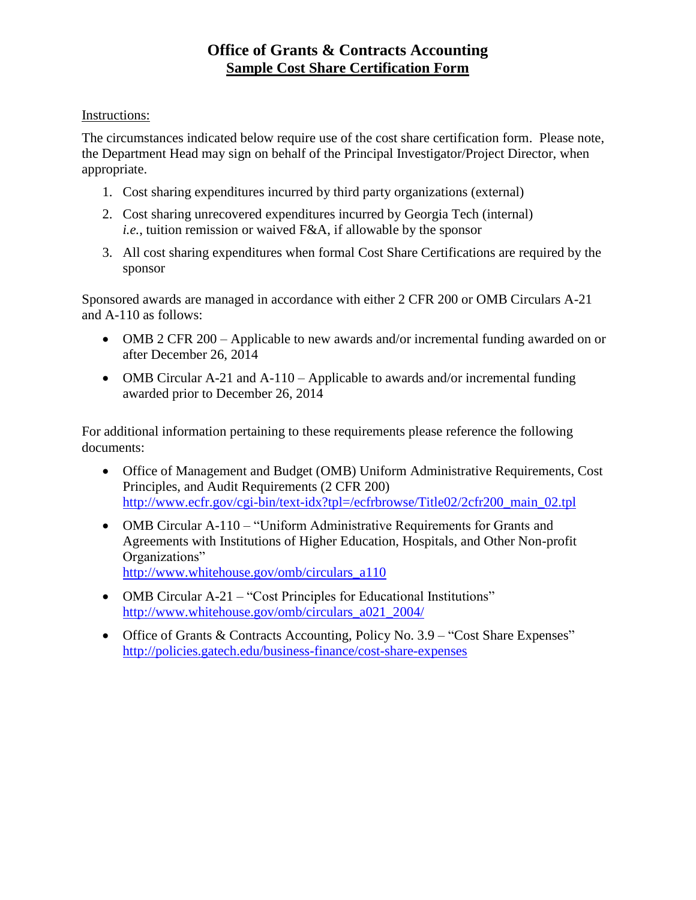## **Office of Grants & Contracts Accounting Sample Cost Share Certification Form**

## Instructions:

The circumstances indicated below require use of the cost share certification form. Please note, the Department Head may sign on behalf of the Principal Investigator/Project Director, when appropriate.

- 1. Cost sharing expenditures incurred by third party organizations (external)
- 2. Cost sharing unrecovered expenditures incurred by Georgia Tech (internal) *i.e.*, tuition remission or waived F&A, if allowable by the sponsor
- 3. All cost sharing expenditures when formal Cost Share Certifications are required by the sponsor

Sponsored awards are managed in accordance with either 2 CFR 200 or OMB Circulars A-21 and A-110 as follows:

- OMB 2 CFR 200 Applicable to new awards and/or incremental funding awarded on or after December 26, 2014
- OMB Circular A-21 and A-110 Applicable to awards and/or incremental funding awarded prior to December 26, 2014

For additional information pertaining to these requirements please reference the following documents:

- Office of Management and Budget (OMB) Uniform Administrative Requirements, Cost Principles, and Audit Requirements (2 CFR 200) [http://www.ecfr.gov/cgi-bin/text-idx?tpl=/ecfrbrowse/Title02/2cfr200\\_main\\_02.tpl](http://www.ecfr.gov/cgi-bin/text-idx?tpl=/ecfrbrowse/Title02/2cfr200_main_02.tpl)
- OMB Circular A-110 "Uniform Administrative Requirements for Grants and Agreements with Institutions of Higher Education, Hospitals, and Other Non-profit Organizations" [http://www.whitehouse.gov/omb/circulars\\_a110](http://www.whitehouse.gov/omb/circulars_a110)
- OMB Circular A-21 "Cost Principles for Educational Institutions" [http://www.whitehouse.gov/omb/circulars\\_a021\\_2004/](http://www.whitehouse.gov/omb/circulars_a021_2004/)
- Office of Grants & Contracts Accounting, Policy No. 3.9 "Cost Share Expenses" <http://policies.gatech.edu/business-finance/cost-share-expenses>